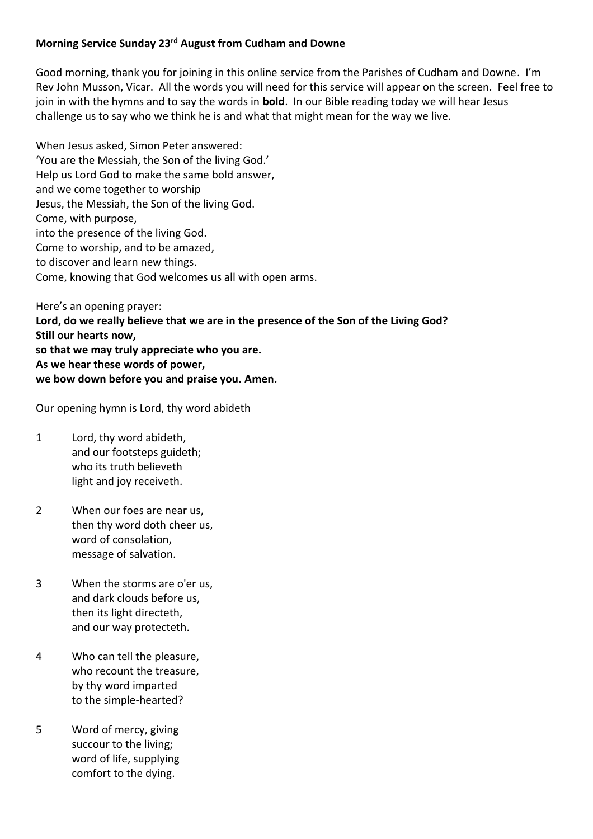## **Morning Service Sunday 23rd August from Cudham and Downe**

Good morning, thank you for joining in this online service from the Parishes of Cudham and Downe. I'm Rev John Musson, Vicar. All the words you will need for this service will appear on the screen. Feel free to join in with the hymns and to say the words in **bold**. In our Bible reading today we will hear Jesus challenge us to say who we think he is and what that might mean for the way we live.

When Jesus asked, Simon Peter answered: 'You are the Messiah, the Son of the living God.' Help us Lord God to make the same bold answer, and we come together to worship Jesus, the Messiah, the Son of the living God. Come, with purpose, into the presence of the living God. Come to worship, and to be amazed, to discover and learn new things. Come, knowing that God welcomes us all with open arms.

Here's an opening prayer: **Lord, do we really believe that we are in the presence of the Son of the Living God? Still our hearts now, so that we may truly appreciate who you are. As we hear these words of power, we bow down before you and praise you. Amen.**

Our opening hymn is Lord, thy word abideth

- 1 Lord, thy word abideth, and our footsteps guideth; who its truth believeth light and joy receiveth.
- 2 When our foes are near us, then thy word doth cheer us, word of consolation, message of salvation.
- 3 When the storms are o'er us, and dark clouds before us, then its light directeth, and our way protecteth.
- 4 Who can tell the pleasure, who recount the treasure, by thy word imparted to the simple-hearted?
- 5 Word of mercy, giving succour to the living; word of life, supplying comfort to the dying.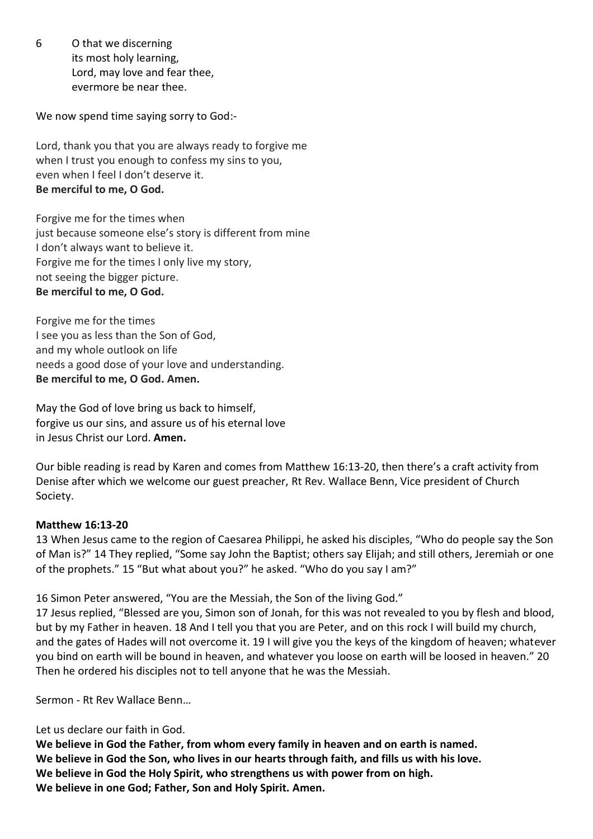6 O that we discerning its most holy learning, Lord, may love and fear thee, evermore be near thee.

We now spend time saying sorry to God:-

Lord, thank you that you are always ready to forgive me when I trust you enough to confess my sins to you, even when I feel I don't deserve it. **Be merciful to me, O God.**

Forgive me for the times when just because someone else's story is different from mine I don't always want to believe it. Forgive me for the times I only live my story, not seeing the bigger picture. **Be merciful to me, O God.**

Forgive me for the times I see you as less than the Son of God, and my whole outlook on life needs a good dose of your love and understanding. **Be merciful to me, O God. Amen.**

May the God of love bring us back to himself, forgive us our sins, and assure us of his eternal love in Jesus Christ our Lord. **Amen.**

Our bible reading is read by Karen and comes from Matthew 16:13-20, then there's a craft activity from Denise after which we welcome our guest preacher, Rt Rev. Wallace Benn, Vice president of Church Society.

## **Matthew 16:13-20**

13 When Jesus came to the region of Caesarea Philippi, he asked his disciples, "Who do people say the Son of Man is?" 14 They replied, "Some say John the Baptist; others say Elijah; and still others, Jeremiah or one of the prophets." 15 "But what about you?" he asked. "Who do you say I am?"

16 Simon Peter answered, "You are the Messiah, the Son of the living God."

17 Jesus replied, "Blessed are you, Simon son of Jonah, for this was not revealed to you by flesh and blood, but by my Father in heaven. 18 And I tell you that you are Peter, and on this rock I will build my church, and the gates of Hades will not overcome it. 19 I will give you the keys of the kingdom of heaven; whatever you bind on earth will be bound in heaven, and whatever you loose on earth will be loosed in heaven." 20 Then he ordered his disciples not to tell anyone that he was the Messiah.

Sermon - Rt Rev Wallace Benn…

## Let us declare our faith in God.

**We believe in God the Father, from whom every family in heaven and on earth is named. We believe in God the Son, who lives in our hearts through faith, and fills us with his love. We believe in God the Holy Spirit, who strengthens us with power from on high. We believe in one God; Father, Son and Holy Spirit. Amen.**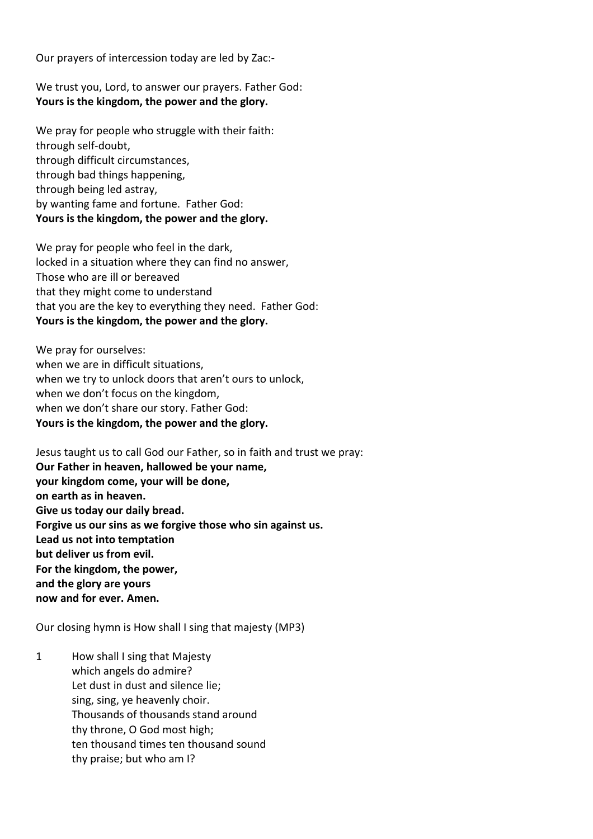Our prayers of intercession today are led by Zac:-

We trust you, Lord, to answer our prayers. Father God: **Yours is the kingdom, the power and the glory.**

We pray for people who struggle with their faith: through self-doubt, through difficult circumstances, through bad things happening, through being led astray, by wanting fame and fortune. Father God: **Yours is the kingdom, the power and the glory.**

We pray for people who feel in the dark, locked in a situation where they can find no answer, Those who are ill or bereaved that they might come to understand that you are the key to everything they need. Father God: **Yours is the kingdom, the power and the glory.**

We pray for ourselves: when we are in difficult situations, when we try to unlock doors that aren't ours to unlock, when we don't focus on the kingdom, when we don't share our story. Father God: **Yours is the kingdom, the power and the glory.**

Jesus taught us to call God our Father, so in faith and trust we pray: **Our Father in heaven, hallowed be your name, your kingdom come, your will be done, on earth as in heaven. Give us today our daily bread. Forgive us our sins as we forgive those who sin against us. Lead us not into temptation but deliver us from evil. For the kingdom, the power, and the glory are yours now and for ever. Amen.**

Our closing hymn is How shall I sing that majesty (MP3)

1 How shall I sing that Majesty which angels do admire? Let dust in dust and silence lie; sing, sing, ye heavenly choir. Thousands of thousands stand around thy throne, O God most high; ten thousand times ten thousand sound thy praise; but who am I?